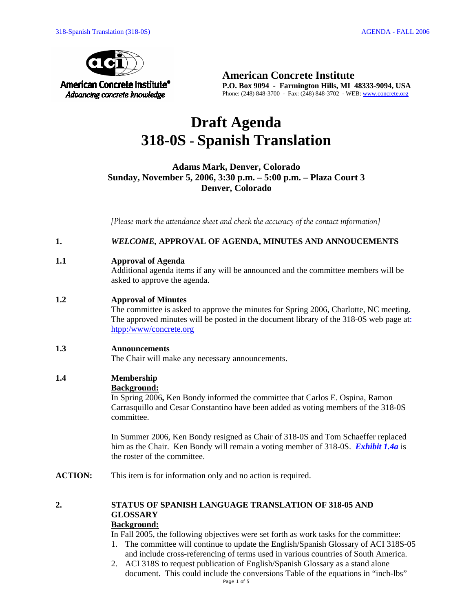

**American Concrete Institute P.O. Box 9094 - Farmington Hills, MI 48333-9094, USA**  Phone: (248) 848-3700 - Fax: (248) 848-3702 - WEB: www.concrete.org

# **Draft Agenda 318-0S - Spanish Translation**

## **Adams Mark, Denver, Colorado Sunday, November 5, 2006, 3:30 p.m. – 5:00 p.m. – Plaza Court 3 Denver, Colorado**

*[Please mark the attendance sheet and check the accuracy of the contact information]* 

**1.** *WELCOME,* **APPROVAL OF AGENDA, MINUTES AND ANNOUCEMENTS** 

#### **1.1 Approval of Agenda**

Additional agenda items if any will be announced and the committee members will be asked to approve the agenda.

## **1.2 Approval of Minutes**

The committee is asked to approve the minutes for Spring 2006, Charlotte, NC meeting. The approved minutes will be posted in the document library of the 318-0S web page at: htpp:/www/concrete.org

#### **1.3 Announcements**

The Chair will make any necessary announcements.

## **1.4 Membership**

## **Background:**

In Spring 2006**,** Ken Bondy informed the committee that Carlos E. Ospina, Ramon Carrasquillo and Cesar Constantino have been added as voting members of the 318-0S committee.

In Summer 2006, Ken Bondy resigned as Chair of 318-0S and Tom Schaeffer replaced him as the Chair. Ken Bondy will remain a voting member of 318-0S. *Exhibit 1.4a* is the roster of the committee.

**ACTION:** This item is for information only and no action is required.

# **2. STATUS OF SPANISH LANGUAGE TRANSLATION OF 318-05 AND GLOSSARY**

# **Background:**

In Fall 2005, the following objectives were set forth as work tasks for the committee:

- 1. The committee will continue to update the English/Spanish Glossary of ACI 318S-05 and include cross-referencing of terms used in various countries of South America.
- 2. ACI 318S to request publication of English/Spanish Glossary as a stand alone document. This could include the conversions Table of the equations in "inch-lbs"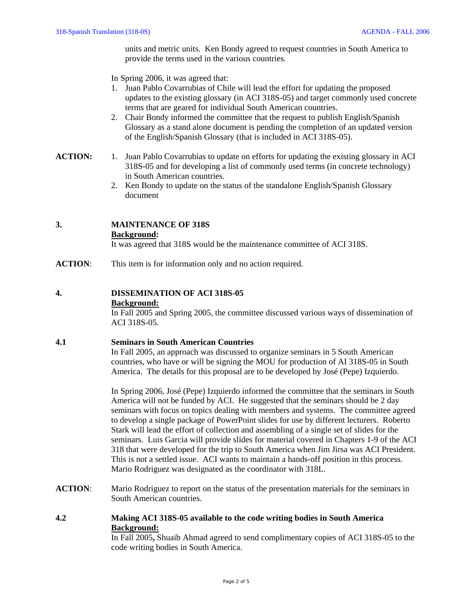units and metric units.Ken Bondy agreed to request countries in South America to provide the terms used in the various countries*.* 

In Spring 2006, it was agreed that:

- 1. Juan Pablo Covarrubias of Chile will lead the effort for updating the proposed updates to the existing glossary (in ACI 318S-05) and target commonly used concrete terms that are geared for individual South American countries.
- 2. Chair Bondy informed the committee that the request to publish English/Spanish Glossary as a stand alone document is pending the completion of an updated version of the English/Spanish Glossary (that is included in ACI 318S-05).
- **ACTION:** 1. Juan Pablo Covarrubias to update on efforts for updating the existing glossary in ACI 318S-05 and for developing a list of commonly used terms (in concrete technology) in South American countries.
	- 2. Ken Bondy to update on the status of the standalone English/Spanish Glossary document

## **3. MAINTENANCE OF 318S**

#### **Background:**

It was agreed that 318S would be the maintenance committee of ACI 318S.

**ACTION:** This item is for information only and no action required.

## **4. DISSEMINATION OF ACI 318S-05**

#### **Background:**

In Fall 2005 and Spring 2005, the committee discussed various ways of dissemination of ACI 318S-05.

#### **4.1 Seminars in South American Countries**

In Fall 2005, an approach was discussed to organize seminars in 5 South American countries, who have or will be signing the MOU for production of AI 318S-05 in South America. The details for this proposal are to be developed by José (Pepe) Izquierdo.

In Spring 2006, José (Pepe) Izquierdo informed the committee that the seminars in South America will not be funded by ACI. He suggested that the seminars should be 2 day seminars with focus on topics dealing with members and systems. The committee agreed to develop a single package of PowerPoint slides for use by different lecturers. Roberto Stark will lead the effort of collection and assembling of a single set of slides for the seminars. Luis Garcia will provide slides for material covered in Chapters 1-9 of the ACI 318 that were developed for the trip to South America when Jim Jirsa was ACI President. This is not a settled issue. ACI wants to maintain a hands-off position in this process. Mario Rodriguez was designated as the coordinator with 318L.

**ACTION**: Mario Rodriguez to report on the status of the presentation materials for the seminars in South American countries.

## **4.2 Making ACI 318S-05 available to the code writing bodies in South America Background:**

In Fall 2005**,** Shuaib Ahmad agreed to send complimentary copies of ACI 318S-05 to the code writing bodies in South America.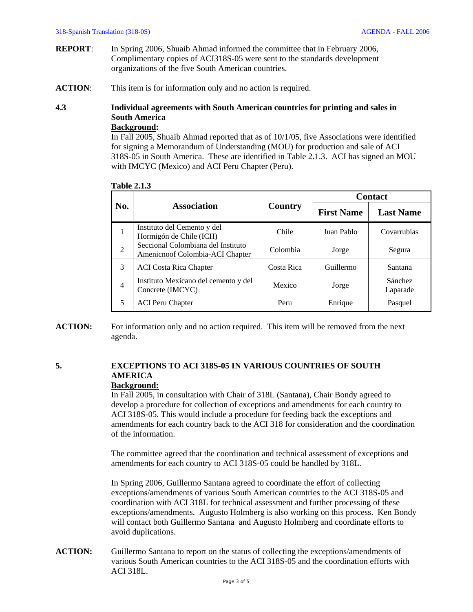- **REPORT**: In Spring 2006, Shuaib Ahmad informed the committee that in February 2006, Complimentary copies of ACI318S-05 were sent to the standards development organizations of the five South American countries.
- **ACTION**: This item is for information only and no action is required.

# **4.3 Individual agreements with South American countries for printing and sales in South America**

## **Background:**

In Fall 2005, Shuaib Ahmad reported that as of 10/1/05, five Associations were identified for signing a Memorandum of Understanding (MOU) for production and sale of ACI 318S-05 in South America. These are identified in Table 2.1.3. ACI has signed an MOU with IMCYC (Mexico) and ACI Peru Chapter (Peru).

|                | <b>Association</b>                                                    | Country    | <b>Contact</b>    |                     |
|----------------|-----------------------------------------------------------------------|------------|-------------------|---------------------|
| No.            |                                                                       |            | <b>First Name</b> | <b>Last Name</b>    |
| 1              | Instituto del Cemento y del<br>Hormigón de Chile (ICH)                | Chile      | Juan Pablo        | Covarrubias         |
| $\mathfrak{D}$ | Seccional Colombiana del Instituto<br>Amenicnoof Colombia-ACI Chapter | Colombia   | Jorge             | Segura              |
| 3              | <b>ACI</b> Costa Rica Chapter                                         | Costa Rica | Guillermo         | Santana             |
| $\overline{4}$ | Instituto Mexicano del cemento y del<br>Concrete (IMCYC)              | Mexico     | Jorge             | Sánchez<br>Laparade |
| 5              | <b>ACI Peru Chapter</b>                                               | Peru       | Enrique           | Pasquel             |

**Table 2.1.3**

**ACTION:** For information only and no action required. This item will be removed from the next agenda.

# **5. EXCEPTIONS TO ACI 318S-05 IN VARIOUS COUNTRIES OF SOUTH AMERICA**

#### **Background:**

In Fall 2005, in consultation with Chair of 318L (Santana), Chair Bondy agreed to develop a procedure for collection of exceptions and amendments for each country to ACI 318S-05. This would include a procedure for feeding back the exceptions and amendments for each country back to the ACI 318 for consideration and the coordination of the information.

The committee agreed that the coordination and technical assessment of exceptions and amendments for each country to ACI 318S-05 could be handled by 318L.

In Spring 2006, Guillermo Santana agreed to coordinate the effort of collecting exceptions/amendments of various South American countries to the ACI 318S-05 and coordination with ACI 318L for technical assessment and further processing of these exceptions/amendments. Augusto Holmberg is also working on this process. Ken Bondy will contact both Guillermo Santana and Augusto Holmberg and coordinate efforts to avoid duplications.

**ACTION:** Guillermo Santana to report on the status of collecting the exceptions/amendments of various South American countries to the ACI 318S-05 and the coordination efforts with ACI 318L.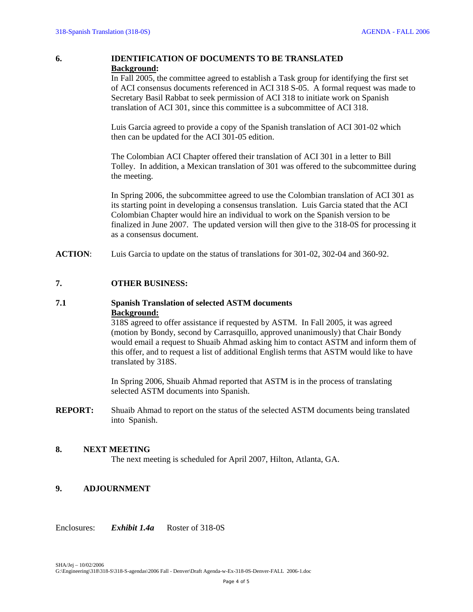## **6. IDENTIFICATION OF DOCUMENTS TO BE TRANSLATED Background:**

In Fall 2005, the committee agreed to establish a Task group for identifying the first set of ACI consensus documents referenced in ACI 318 S-05. A formal request was made to Secretary Basil Rabbat to seek permission of ACI 318 to initiate work on Spanish translation of ACI 301, since this committee is a subcommittee of ACI 318.

Luis Garcia agreed to provide a copy of the Spanish translation of ACI 301-02 which then can be updated for the ACI 301-05 edition.

The Colombian ACI Chapter offered their translation of ACI 301 in a letter to Bill Tolley. In addition, a Mexican translation of 301 was offered to the subcommittee during the meeting.

In Spring 2006, the subcommittee agreed to use the Colombian translation of ACI 301 as its starting point in developing a consensus translation. Luis Garcia stated that the ACI Colombian Chapter would hire an individual to work on the Spanish version to be finalized in June 2007. The updated version will then give to the 318-0S for processing it as a consensus document.

**ACTION**: Luis Garcia to update on the status of translations for 301-02, 302-04 and 360-92.

#### **7. OTHER BUSINESS:**

## **7.1 Spanish Translation of selected ASTM documents Background:**

318S agreed to offer assistance if requested by ASTM. In Fall 2005, it was agreed (motion by Bondy, second by Carrasquillo, approved unanimously) that Chair Bondy would email a request to Shuaib Ahmad asking him to contact ASTM and inform them of this offer, and to request a list of additional English terms that ASTM would like to have translated by 318S.

In Spring 2006, Shuaib Ahmad reported that ASTM is in the process of translating selected ASTM documents into Spanish.

**REPORT:** Shuaib Ahmad to report on the status of the selected ASTM documents being translated into Spanish.

#### **8. NEXT MEETING**

The next meeting is scheduled for April 2007, Hilton, Atlanta, GA.

## **9. ADJOURNMENT**

Enclosures: *Exhibit 1.4a* Roster of 318-0S